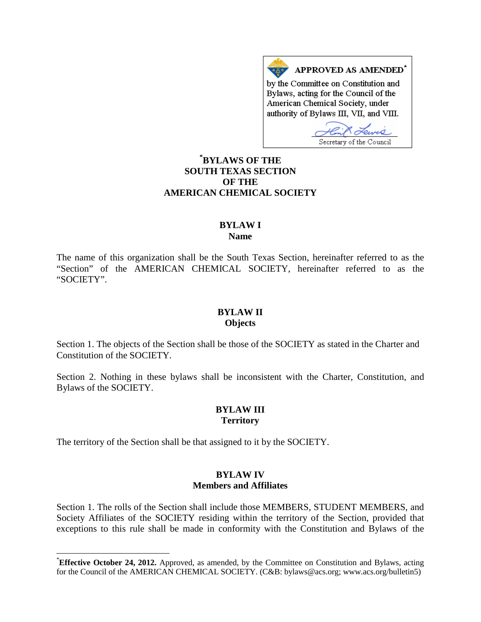APPROVED AS AMENDED\* by the Committee on Constitution and Bylaws, acting for the Council of the American Chemical Society, under authority of Bylaws III, VII, and VIII.

Secretary of the Council

# **[\\*](#page-0-0) BYLAWS OF THE SOUTH TEXAS SECTION OF THE AMERICAN CHEMICAL SOCIETY**

### **BYLAW I Name**

The name of this organization shall be the South Texas Section, hereinafter referred to as the "Section" of the AMERICAN CHEMICAL SOCIETY, hereinafter referred to as the "SOCIETY".

### **BYLAW II Objects**

Section 1. The objects of the Section shall be those of the SOCIETY as stated in the Charter and Constitution of the SOCIETY.

Section 2. Nothing in these bylaws shall be inconsistent with the Charter, Constitution, and Bylaws of the SOCIETY.

### **BYLAW III Territory**

The territory of the Section shall be that assigned to it by the SOCIETY.

### **BYLAW IV Members and Affiliates**

Section 1. The rolls of the Section shall include those MEMBERS, STUDENT MEMBERS, and Society Affiliates of the SOCIETY residing within the territory of the Section, provided that exceptions to this rule shall be made in conformity with the Constitution and Bylaws of the

<span id="page-0-0"></span> <sup>\*</sup> **Effective October 24, 2012.** Approved, as amended, by the Committee on Constitution and Bylaws, acting for the Council of the AMERICAN CHEMICAL SOCIETY. (C&B: bylaws@acs.org; www.acs.org/bulletin5)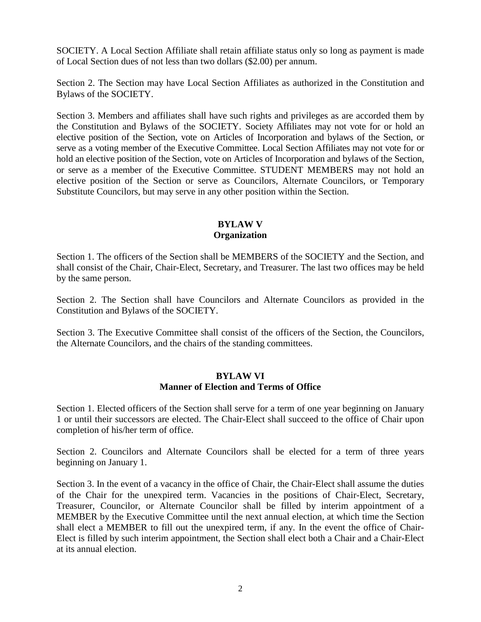SOCIETY. A Local Section Affiliate shall retain affiliate status only so long as payment is made of Local Section dues of not less than two dollars (\$2.00) per annum.

Section 2. The Section may have Local Section Affiliates as authorized in the Constitution and Bylaws of the SOCIETY.

Section 3. Members and affiliates shall have such rights and privileges as are accorded them by the Constitution and Bylaws of the SOCIETY. Society Affiliates may not vote for or hold an elective position of the Section, vote on Articles of Incorporation and bylaws of the Section, or serve as a voting member of the Executive Committee. Local Section Affiliates may not vote for or hold an elective position of the Section, vote on Articles of Incorporation and bylaws of the Section, or serve as a member of the Executive Committee. STUDENT MEMBERS may not hold an elective position of the Section or serve as Councilors, Alternate Councilors, or Temporary Substitute Councilors, but may serve in any other position within the Section.

## **BYLAW V Organization**

Section 1. The officers of the Section shall be MEMBERS of the SOCIETY and the Section, and shall consist of the Chair, Chair-Elect, Secretary, and Treasurer. The last two offices may be held by the same person.

Section 2. The Section shall have Councilors and Alternate Councilors as provided in the Constitution and Bylaws of the SOCIETY.

Section 3. The Executive Committee shall consist of the officers of the Section, the Councilors, the Alternate Councilors, and the chairs of the standing committees.

# **BYLAW VI Manner of Election and Terms of Office**

Section 1. Elected officers of the Section shall serve for a term of one year beginning on January 1 or until their successors are elected. The Chair-Elect shall succeed to the office of Chair upon completion of his/her term of office.

Section 2. Councilors and Alternate Councilors shall be elected for a term of three years beginning on January 1.

Section 3. In the event of a vacancy in the office of Chair, the Chair-Elect shall assume the duties of the Chair for the unexpired term. Vacancies in the positions of Chair-Elect, Secretary, Treasurer, Councilor, or Alternate Councilor shall be filled by interim appointment of a MEMBER by the Executive Committee until the next annual election, at which time the Section shall elect a MEMBER to fill out the unexpired term, if any. In the event the office of Chair-Elect is filled by such interim appointment, the Section shall elect both a Chair and a Chair-Elect at its annual election.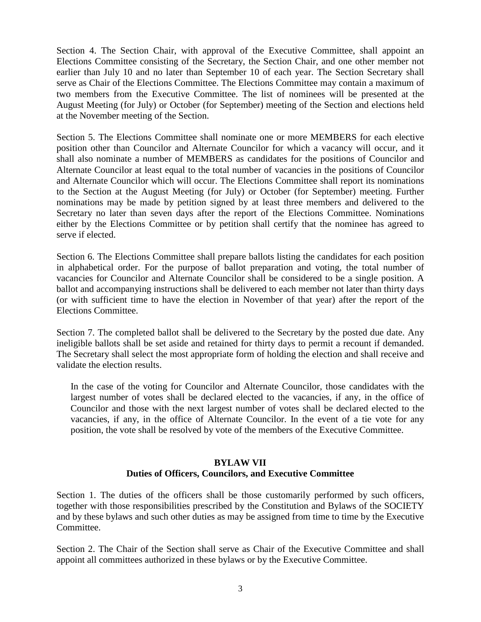Section 4. The Section Chair, with approval of the Executive Committee, shall appoint an Elections Committee consisting of the Secretary, the Section Chair, and one other member not earlier than July 10 and no later than September 10 of each year. The Section Secretary shall serve as Chair of the Elections Committee. The Elections Committee may contain a maximum of two members from the Executive Committee. The list of nominees will be presented at the August Meeting (for July) or October (for September) meeting of the Section and elections held at the November meeting of the Section.

Section 5. The Elections Committee shall nominate one or more MEMBERS for each elective position other than Councilor and Alternate Councilor for which a vacancy will occur, and it shall also nominate a number of MEMBERS as candidates for the positions of Councilor and Alternate Councilor at least equal to the total number of vacancies in the positions of Councilor and Alternate Councilor which will occur. The Elections Committee shall report its nominations to the Section at the August Meeting (for July) or October (for September) meeting. Further nominations may be made by petition signed by at least three members and delivered to the Secretary no later than seven days after the report of the Elections Committee. Nominations either by the Elections Committee or by petition shall certify that the nominee has agreed to serve if elected.

Section 6. The Elections Committee shall prepare ballots listing the candidates for each position in alphabetical order. For the purpose of ballot preparation and voting, the total number of vacancies for Councilor and Alternate Councilor shall be considered to be a single position. A ballot and accompanying instructions shall be delivered to each member not later than thirty days (or with sufficient time to have the election in November of that year) after the report of the Elections Committee.

Section 7. The completed ballot shall be delivered to the Secretary by the posted due date. Any ineligible ballots shall be set aside and retained for thirty days to permit a recount if demanded. The Secretary shall select the most appropriate form of holding the election and shall receive and validate the election results.

In the case of the voting for Councilor and Alternate Councilor, those candidates with the largest number of votes shall be declared elected to the vacancies, if any, in the office of Councilor and those with the next largest number of votes shall be declared elected to the vacancies, if any, in the office of Alternate Councilor. In the event of a tie vote for any position, the vote shall be resolved by vote of the members of the Executive Committee.

# **BYLAW VII Duties of Officers, Councilors, and Executive Committee**

Section 1. The duties of the officers shall be those customarily performed by such officers, together with those responsibilities prescribed by the Constitution and Bylaws of the SOCIETY and by these bylaws and such other duties as may be assigned from time to time by the Executive Committee.

Section 2. The Chair of the Section shall serve as Chair of the Executive Committee and shall appoint all committees authorized in these bylaws or by the Executive Committee.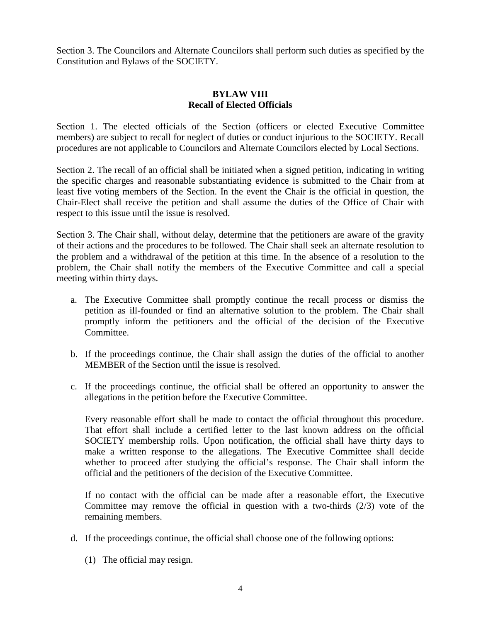Section 3. The Councilors and Alternate Councilors shall perform such duties as specified by the Constitution and Bylaws of the SOCIETY.

# **BYLAW VIII Recall of Elected Officials**

Section 1. The elected officials of the Section (officers or elected Executive Committee members) are subject to recall for neglect of duties or conduct injurious to the SOCIETY. Recall procedures are not applicable to Councilors and Alternate Councilors elected by Local Sections.

Section 2. The recall of an official shall be initiated when a signed petition, indicating in writing the specific charges and reasonable substantiating evidence is submitted to the Chair from at least five voting members of the Section. In the event the Chair is the official in question, the Chair-Elect shall receive the petition and shall assume the duties of the Office of Chair with respect to this issue until the issue is resolved.

Section 3. The Chair shall, without delay, determine that the petitioners are aware of the gravity of their actions and the procedures to be followed. The Chair shall seek an alternate resolution to the problem and a withdrawal of the petition at this time. In the absence of a resolution to the problem, the Chair shall notify the members of the Executive Committee and call a special meeting within thirty days.

- a. The Executive Committee shall promptly continue the recall process or dismiss the petition as ill-founded or find an alternative solution to the problem. The Chair shall promptly inform the petitioners and the official of the decision of the Executive Committee.
- b. If the proceedings continue, the Chair shall assign the duties of the official to another MEMBER of the Section until the issue is resolved.
- c. If the proceedings continue, the official shall be offered an opportunity to answer the allegations in the petition before the Executive Committee.

Every reasonable effort shall be made to contact the official throughout this procedure. That effort shall include a certified letter to the last known address on the official SOCIETY membership rolls. Upon notification, the official shall have thirty days to make a written response to the allegations. The Executive Committee shall decide whether to proceed after studying the official's response. The Chair shall inform the official and the petitioners of the decision of the Executive Committee.

If no contact with the official can be made after a reasonable effort, the Executive Committee may remove the official in question with a two-thirds (2/3) vote of the remaining members.

- d. If the proceedings continue, the official shall choose one of the following options:
	- (1) The official may resign.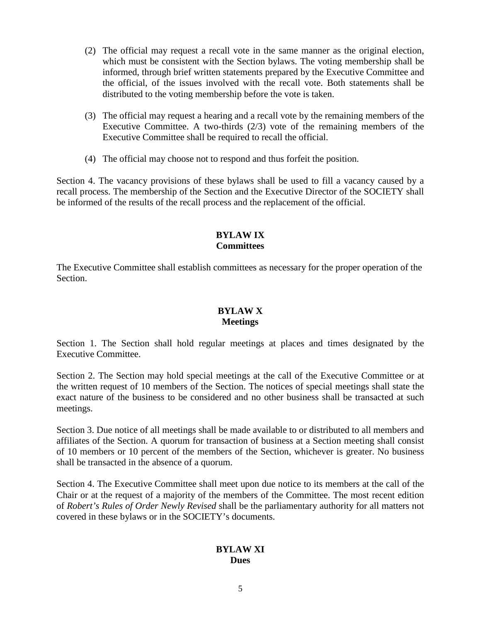- (2) The official may request a recall vote in the same manner as the original election, which must be consistent with the Section bylaws. The voting membership shall be informed, through brief written statements prepared by the Executive Committee and the official, of the issues involved with the recall vote. Both statements shall be distributed to the voting membership before the vote is taken.
- (3) The official may request a hearing and a recall vote by the remaining members of the Executive Committee. A two-thirds (2/3) vote of the remaining members of the Executive Committee shall be required to recall the official.
- (4) The official may choose not to respond and thus forfeit the position.

Section 4. The vacancy provisions of these bylaws shall be used to fill a vacancy caused by a recall process. The membership of the Section and the Executive Director of the SOCIETY shall be informed of the results of the recall process and the replacement of the official.

# **BYLAW IX Committees**

The Executive Committee shall establish committees as necessary for the proper operation of the Section.

### **BYLAW X Meetings**

Section 1. The Section shall hold regular meetings at places and times designated by the Executive Committee.

Section 2. The Section may hold special meetings at the call of the Executive Committee or at the written request of 10 members of the Section. The notices of special meetings shall state the exact nature of the business to be considered and no other business shall be transacted at such meetings.

Section 3. Due notice of all meetings shall be made available to or distributed to all members and affiliates of the Section. A quorum for transaction of business at a Section meeting shall consist of 10 members or 10 percent of the members of the Section, whichever is greater. No business shall be transacted in the absence of a quorum.

Section 4. The Executive Committee shall meet upon due notice to its members at the call of the Chair or at the request of a majority of the members of the Committee. The most recent edition of *Robert's Rules of Order Newly Revised* shall be the parliamentary authority for all matters not covered in these bylaws or in the SOCIETY's documents.

# **BYLAW XI Dues**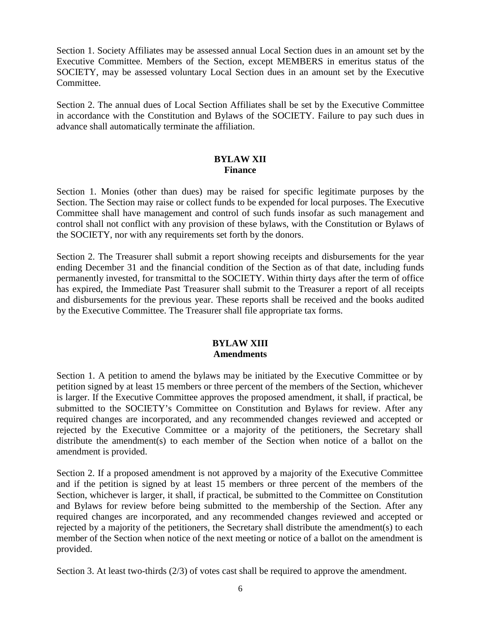Section 1. Society Affiliates may be assessed annual Local Section dues in an amount set by the Executive Committee. Members of the Section, except MEMBERS in emeritus status of the SOCIETY, may be assessed voluntary Local Section dues in an amount set by the Executive Committee.

Section 2. The annual dues of Local Section Affiliates shall be set by the Executive Committee in accordance with the Constitution and Bylaws of the SOCIETY. Failure to pay such dues in advance shall automatically terminate the affiliation.

### **BYLAW XII Finance**

Section 1. Monies (other than dues) may be raised for specific legitimate purposes by the Section. The Section may raise or collect funds to be expended for local purposes. The Executive Committee shall have management and control of such funds insofar as such management and control shall not conflict with any provision of these bylaws, with the Constitution or Bylaws of the SOCIETY, nor with any requirements set forth by the donors.

Section 2. The Treasurer shall submit a report showing receipts and disbursements for the year ending December 31 and the financial condition of the Section as of that date, including funds permanently invested, for transmittal to the SOCIETY. Within thirty days after the term of office has expired, the Immediate Past Treasurer shall submit to the Treasurer a report of all receipts and disbursements for the previous year. These reports shall be received and the books audited by the Executive Committee. The Treasurer shall file appropriate tax forms.

# **BYLAW XIII Amendments**

Section 1. A petition to amend the bylaws may be initiated by the Executive Committee or by petition signed by at least 15 members or three percent of the members of the Section, whichever is larger. If the Executive Committee approves the proposed amendment, it shall, if practical, be submitted to the SOCIETY's Committee on Constitution and Bylaws for review. After any required changes are incorporated, and any recommended changes reviewed and accepted or rejected by the Executive Committee or a majority of the petitioners, the Secretary shall distribute the amendment(s) to each member of the Section when notice of a ballot on the amendment is provided.

Section 2. If a proposed amendment is not approved by a majority of the Executive Committee and if the petition is signed by at least 15 members or three percent of the members of the Section, whichever is larger, it shall, if practical, be submitted to the Committee on Constitution and Bylaws for review before being submitted to the membership of the Section. After any required changes are incorporated, and any recommended changes reviewed and accepted or rejected by a majority of the petitioners, the Secretary shall distribute the amendment(s) to each member of the Section when notice of the next meeting or notice of a ballot on the amendment is provided.

Section 3. At least two-thirds (2/3) of votes cast shall be required to approve the amendment.